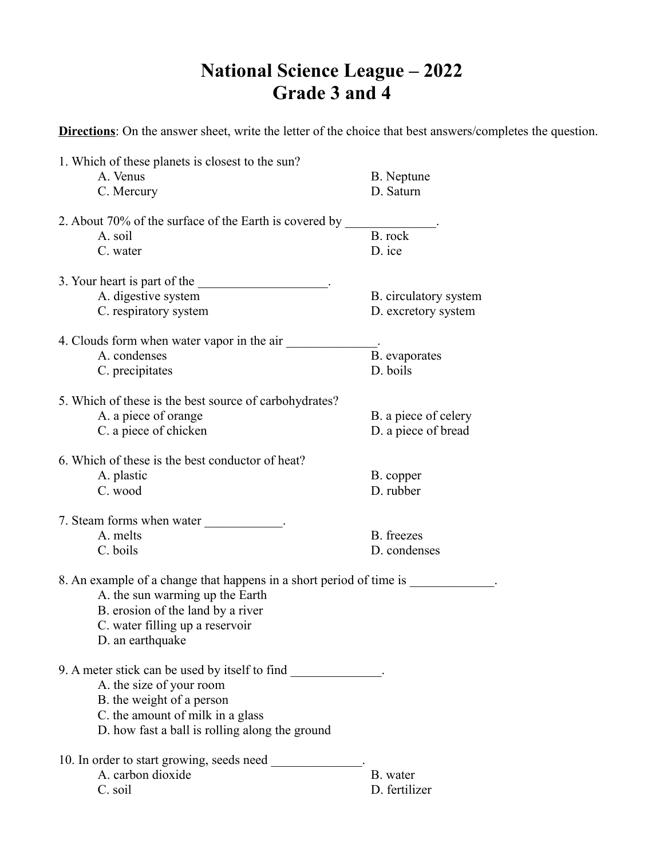## **National Science League – 2022 Grade 3 and 4**

**Directions**: On the answer sheet, write the letter of the choice that best answers/completes the question.

|                                                        | 1. Which of these planets is closest to the sun?                    |                           |  |  |
|--------------------------------------------------------|---------------------------------------------------------------------|---------------------------|--|--|
|                                                        | A. Venus                                                            | B. Neptune                |  |  |
|                                                        | C. Mercury                                                          | D. Saturn                 |  |  |
| 2. About 70% of the surface of the Earth is covered by |                                                                     |                           |  |  |
|                                                        | A. soil                                                             | B. rock                   |  |  |
|                                                        | C. water                                                            | D. ice                    |  |  |
|                                                        | 3. Your heart is part of the                                        |                           |  |  |
|                                                        | A. digestive system                                                 | B. circulatory system     |  |  |
|                                                        | C. respiratory system                                               | D. excretory system       |  |  |
|                                                        |                                                                     |                           |  |  |
|                                                        | 4. Clouds form when water vapor in the air<br>A. condenses          |                           |  |  |
|                                                        | C. precipitates                                                     | B. evaporates<br>D. boils |  |  |
|                                                        |                                                                     |                           |  |  |
|                                                        | 5. Which of these is the best source of carbohydrates?              |                           |  |  |
|                                                        | A. a piece of orange                                                | B. a piece of celery      |  |  |
|                                                        | C. a piece of chicken                                               | D. a piece of bread       |  |  |
|                                                        | 6. Which of these is the best conductor of heat?                    |                           |  |  |
|                                                        | A. plastic                                                          | B. copper                 |  |  |
|                                                        | C. wood                                                             | D. rubber                 |  |  |
|                                                        |                                                                     |                           |  |  |
|                                                        | 7. Steam forms when water ____________.<br>A. melts                 | B. freezes                |  |  |
|                                                        | C. boils                                                            | D. condenses              |  |  |
|                                                        |                                                                     |                           |  |  |
|                                                        | 8. An example of a change that happens in a short period of time is |                           |  |  |
|                                                        | A. the sun warming up the Earth                                     |                           |  |  |
|                                                        | B. erosion of the land by a river                                   |                           |  |  |
|                                                        | C. water filling up a reservoir                                     |                           |  |  |
|                                                        | D. an earthquake                                                    |                           |  |  |
|                                                        | 9. A meter stick can be used by itself to find                      |                           |  |  |
|                                                        | A. the size of your room                                            |                           |  |  |
|                                                        | B. the weight of a person                                           |                           |  |  |
|                                                        | C. the amount of milk in a glass                                    |                           |  |  |
|                                                        | D. how fast a ball is rolling along the ground                      |                           |  |  |
|                                                        | 10. In order to start growing, seeds need                           |                           |  |  |
|                                                        | A. carbon dioxide                                                   | B. water                  |  |  |
|                                                        | C. soil                                                             | D. fertilizer             |  |  |
|                                                        |                                                                     |                           |  |  |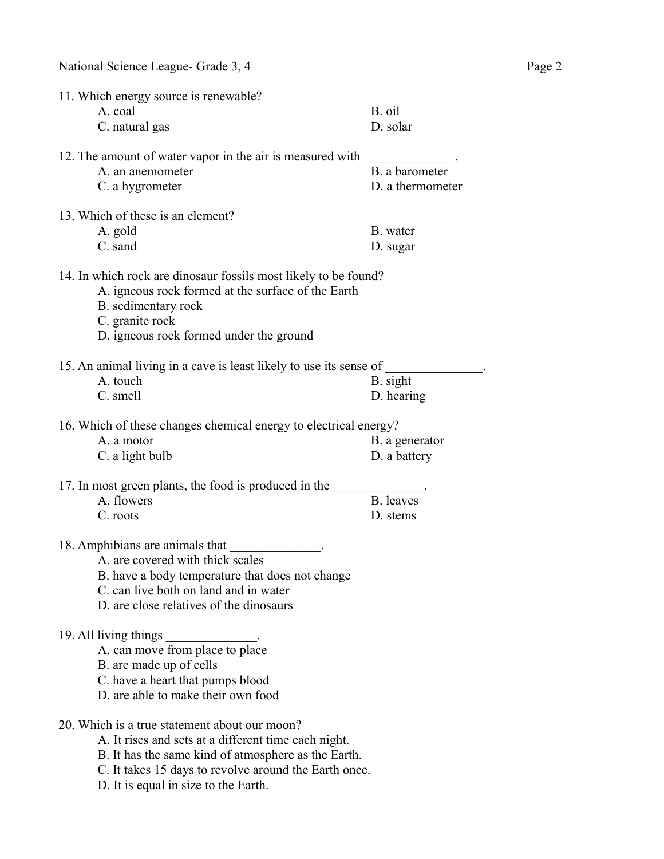| 11. Which energy source is renewable?<br>A. coal<br>C. natural gas                                                                                                                                                    | B. oil<br>D. solar                 |
|-----------------------------------------------------------------------------------------------------------------------------------------------------------------------------------------------------------------------|------------------------------------|
| 12. The amount of water vapor in the air is measured with<br>A. an anemometer<br>C. a hygrometer                                                                                                                      | B. a barometer<br>D. a thermometer |
| 13. Which of these is an element?<br>A. gold<br>C. sand                                                                                                                                                               | B. water<br>D. sugar               |
| 14. In which rock are dinosaur fossils most likely to be found?<br>A. igneous rock formed at the surface of the Earth<br>B. sedimentary rock<br>C. granite rock<br>D. igneous rock formed under the ground            |                                    |
| 15. An animal living in a cave is least likely to use its sense of<br>A. touch<br>C. smell                                                                                                                            | B. sight<br>D. hearing             |
| 16. Which of these changes chemical energy to electrical energy?<br>A. a motor<br>C. a light bulb                                                                                                                     | B. a generator<br>D. a battery     |
| 17. In most green plants, the food is produced in the<br>A. flowers<br>C. roots                                                                                                                                       | B. leaves<br>D. stems              |
| 18. Amphibians are animals that<br>A. are covered with thick scales<br>B. have a body temperature that does not change<br>C. can live both on land and in water<br>D. are close relatives of the dinosaurs            |                                    |
| 19. All living things<br>A. can move from place to place<br>B. are made up of cells<br>C. have a heart that pumps blood<br>D. are able to make their own food                                                         |                                    |
| 20. Which is a true statement about our moon?<br>A. It rises and sets at a different time each night.<br>B. It has the same kind of atmosphere as the Earth.<br>C. It takes 15 days to revolve around the Earth once. |                                    |

D. It is equal in size to the Earth.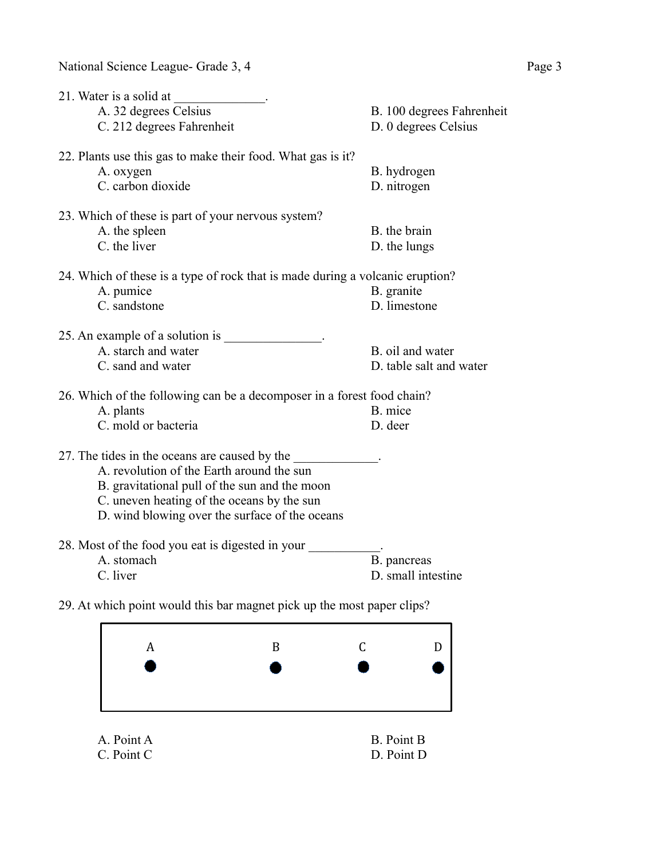| 21. Water is a solid at                                                                    |                                                   |
|--------------------------------------------------------------------------------------------|---------------------------------------------------|
| A. 32 degrees Celsius<br>C. 212 degrees Fahrenheit                                         | B. 100 degrees Fahrenheit<br>D. 0 degrees Celsius |
|                                                                                            |                                                   |
| 22. Plants use this gas to make their food. What gas is it?                                |                                                   |
| A. oxygen                                                                                  | B. hydrogen                                       |
| C. carbon dioxide                                                                          | D. nitrogen                                       |
| 23. Which of these is part of your nervous system?                                         |                                                   |
| A. the spleen                                                                              | B. the brain                                      |
| C. the liver                                                                               | D. the lungs                                      |
| 24. Which of these is a type of rock that is made during a volcanic eruption?              |                                                   |
| A. pumice                                                                                  | B. granite                                        |
| C. sandstone                                                                               | D. limestone                                      |
| 25. An example of a solution is 1.                                                         |                                                   |
| A. starch and water                                                                        | B. oil and water                                  |
| C. sand and water                                                                          | D. table salt and water                           |
| 26. Which of the following can be a decomposer in a forest food chain?                     |                                                   |
| A. plants                                                                                  | B. mice                                           |
| C. mold or bacteria                                                                        | D. deer                                           |
| 27. The tides in the oceans are caused by the<br>A. revolution of the Earth around the sun |                                                   |
|                                                                                            |                                                   |
| B. gravitational pull of the sun and the moon                                              |                                                   |
| C. uneven heating of the oceans by the sun                                                 |                                                   |
| D. wind blowing over the surface of the oceans                                             |                                                   |
| 28. Most of the food you eat is digested in your                                           |                                                   |
| A. stomach                                                                                 | B. pancreas                                       |
| C. liver                                                                                   | D. small intestine                                |
|                                                                                            |                                                   |

29. At which point would this bar magnet pick up the most paper clips?

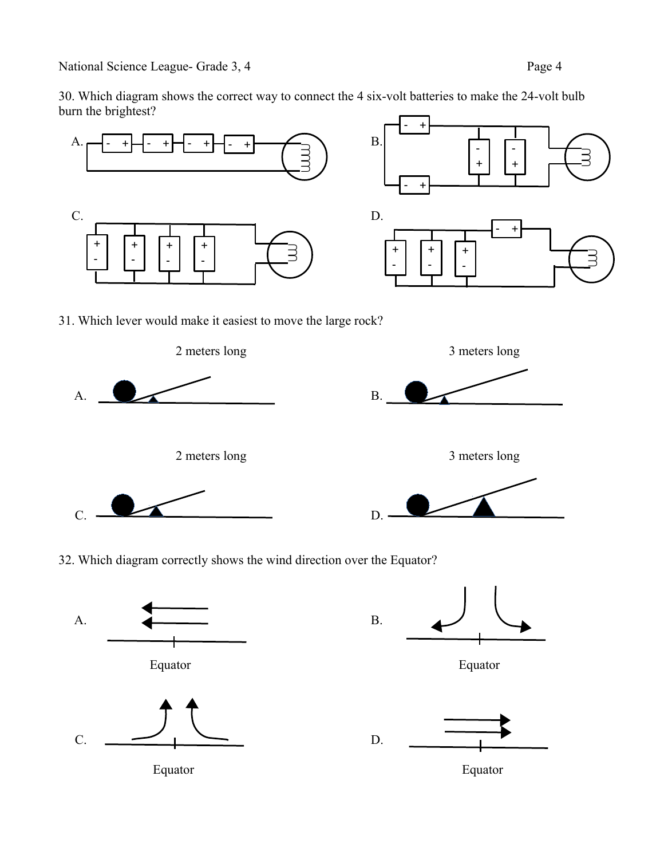30. Which diagram shows the correct way to connect the 4 six-volt batteries to make the 24-volt bulb burn the brightest?





 $C.$  D. D.